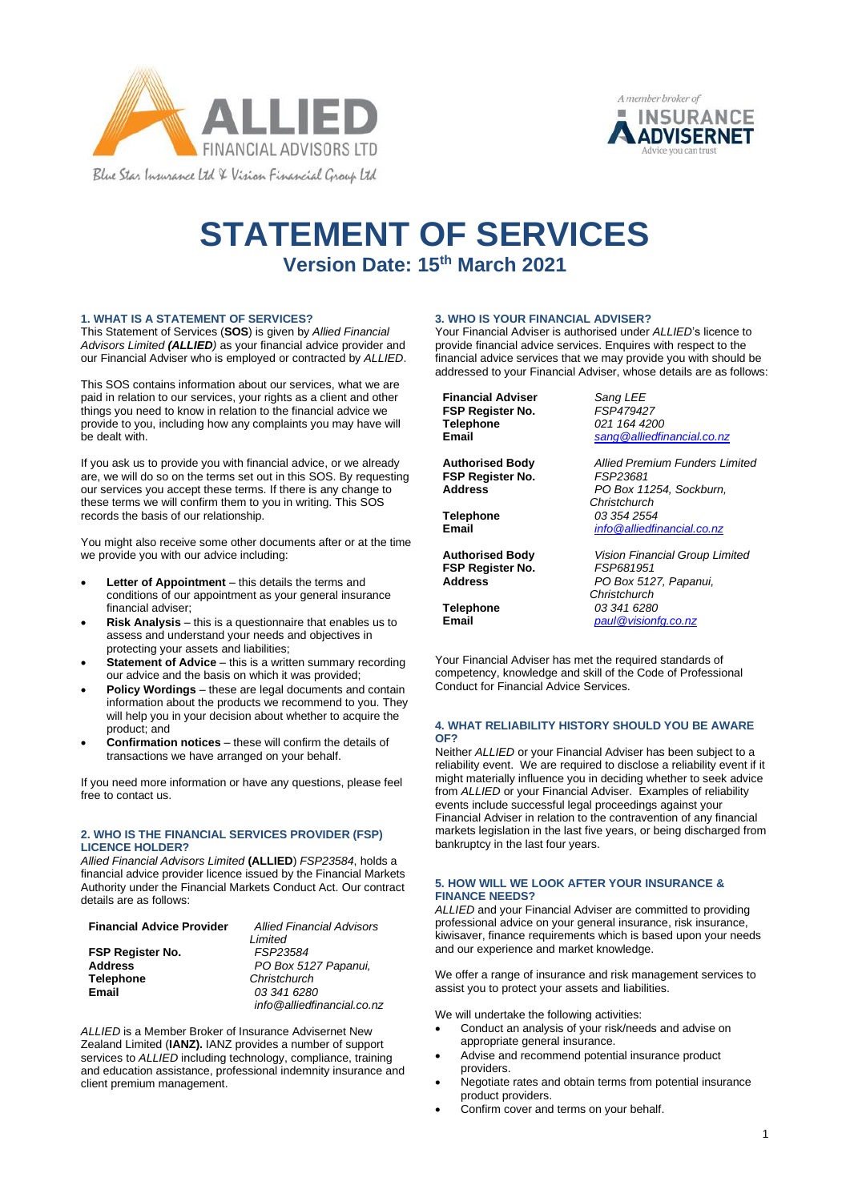



# **STATEMENT OF SERVICES Version Date: 15th March 2021**

#### **1. WHAT IS A STATEMENT OF SERVICES?**

This Statement of Services (**SOS**) is given by *Allied Financial Advisors Limited (ALLIED)* as your financial advice provider and our Financial Adviser who is employed or contracted by *ALLIED*.

This SOS contains information about our services, what we are paid in relation to our services, your rights as a client and other things you need to know in relation to the financial advice we provide to you, including how any complaints you may have will be dealt with.

If you ask us to provide you with financial advice, or we already are, we will do so on the terms set out in this SOS. By requesting our services you accept these terms. If there is any change to these terms we will confirm them to you in writing. This SOS records the basis of our relationship.

You might also receive some other documents after or at the time we provide you with our advice including:

- **Letter of Appointment** this details the terms and conditions of our appointment as your general insurance financial adviser;
- **Risk Analysis** this is a questionnaire that enables us to assess and understand your needs and objectives in protecting your assets and liabilities;
- **Statement of Advice** this is a written summary recording our advice and the basis on which it was provided;
- **Policy Wordings** these are legal documents and contain information about the products we recommend to you. They will help you in your decision about whether to acquire the product; and
- **Confirmation notices** these will confirm the details of transactions we have arranged on your behalf.

If you need more information or have any questions, please feel free to contact us.

## **2. WHO IS THE FINANCIAL SERVICES PROVIDER (FSP) LICENCE HOLDER?**

*Allied Financial Advisors Limited* **(ALLIED**) *FSP23584*, holds a financial advice provider licence issued by the Financial Markets Authority under the Financial Markets Conduct Act. Our contract details are as follows:

| <b>Financial Advice Provider</b> | <b>Allied Financial Advisors</b> |
|----------------------------------|----------------------------------|
|                                  | Limited                          |
| <b>FSP Register No.</b>          | FSP23584                         |
| <b>Address</b>                   | PO Box 5127 Papanui.             |
| <b>Telephone</b>                 | Christchurch                     |
| Email                            | 03 341 6280                      |
|                                  | info@alliedfinancial.co.nz       |

*ALLIED* is a Member Broker of Insurance Advisernet New Zealand Limited (**IANZ).** IANZ provides a number of support services to *ALLIED* including technology, compliance, training and education assistance, professional indemnity insurance and client premium management.

# **3. WHO IS YOUR FINANCIAL ADVISER?**

Your Financial Adviser is authorised under *ALLIED*'s licence to provide financial advice services. Enquires with respect to the financial advice services that we may provide you with should be addressed to your Financial Adviser, whose details are as follows:

**Financial Adviser** *Sang LEE* **FSP Register No. Telephone Email** 

**Authorised Body FSP Register No. Address**

**Telephone Email**

**Authorised Body FSP Register No. Address**

**Telephone Email**

*021 164 4200 [sang@alliedfinancial.co.nz](mailto:sang@alliedfinancial.co.nz)*

*Allied Premium Funders Limited FSP23681 PO Box 11254, Sockburn, Christchurch 03 354 2554 [info@alliedfinancial.co.nz](mailto:info@alliedfinancial.co.nz)*

*Vision Financial Group Limited FSP681951 PO Box 5127, Papanui, Christchurch 03 341 6280 [paul@visionfg.co.nz](mailto:paul@visionfg.co.nz)*

Your Financial Adviser has met the required standards of competency, knowledge and skill of the Code of Professional Conduct for Financial Advice Services.

#### **4. WHAT RELIABILITY HISTORY SHOULD YOU BE AWARE OF?**

Neither *ALLIED* or your Financial Adviser has been subject to a reliability event. We are required to disclose a reliability event if it might materially influence you in deciding whether to seek advice from *ALLIED* or your Financial Adviser. Examples of reliability events include successful legal proceedings against your Financial Adviser in relation to the contravention of any financial markets legislation in the last five years, or being discharged from bankruptcy in the last four years.

#### **5. HOW WILL WE LOOK AFTER YOUR INSURANCE & FINANCE NEEDS?**

*ALLIED* and your Financial Adviser are committed to providing professional advice on your general insurance, risk insurance, kiwisaver, finance requirements which is based upon your needs and our experience and market knowledge.

We offer a range of insurance and risk management services to assist you to protect your assets and liabilities.

We will undertake the following activities:

- Conduct an analysis of your risk/needs and advise on appropriate general insurance.
- Advise and recommend potential insurance product providers.
- Negotiate rates and obtain terms from potential insurance product providers.
- Confirm cover and terms on your behalf.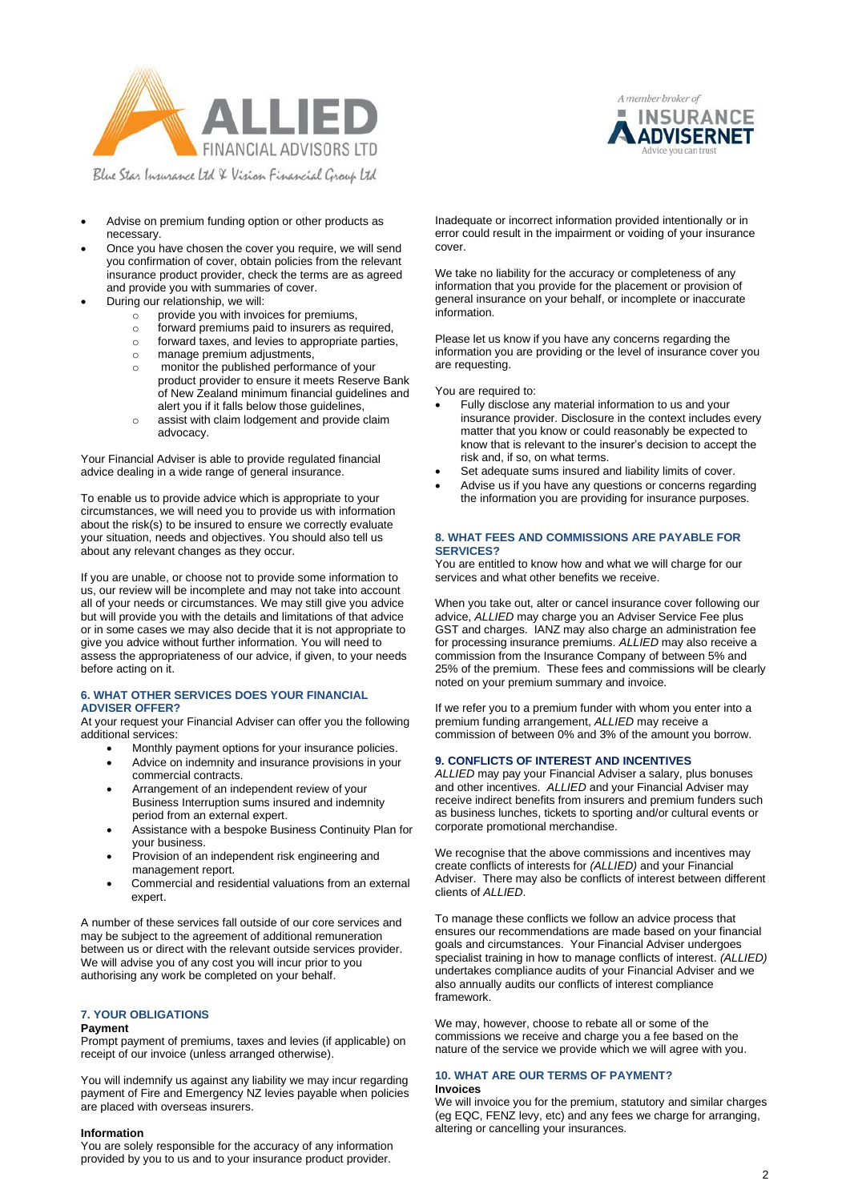



Blue Star Insurance Ltd & Vision Financial Group Ltd

- Advise on premium funding option or other products as necessary.
- Once you have chosen the cover you require, we will send you confirmation of cover, obtain policies from the relevant insurance product provider, check the terms are as agreed and provide you with summaries of cover.
- During our relationship, we will:
	- $\circ$  provide you with invoices for premiums,
	- o forward premiums paid to insurers as required,
	- o forward taxes, and levies to appropriate parties,
	- o manage premium adjustments,
	- o monitor the published performance of your product provider to ensure it meets Reserve Bank of New Zealand minimum financial guidelines and alert you if it falls below those guidelines,
	- o assist with claim lodgement and provide claim advocacy.

Your Financial Adviser is able to provide regulated financial advice dealing in a wide range of general insurance.

To enable us to provide advice which is appropriate to your circumstances, we will need you to provide us with information about the risk(s) to be insured to ensure we correctly evaluate your situation, needs and objectives. You should also tell us about any relevant changes as they occur.

If you are unable, or choose not to provide some information to us, our review will be incomplete and may not take into account all of your needs or circumstances. We may still give you advice but will provide you with the details and limitations of that advice or in some cases we may also decide that it is not appropriate to give you advice without further information. You will need to assess the appropriateness of our advice, if given, to your needs before acting on it.

#### **6. WHAT OTHER SERVICES DOES YOUR FINANCIAL ADVISER OFFER?**

At your request your Financial Adviser can offer you the following additional services:

- Monthly payment options for your insurance policies.
- Advice on indemnity and insurance provisions in your commercial contracts.
- Arrangement of an independent review of your Business Interruption sums insured and indemnity period from an external expert.
- Assistance with a bespoke Business Continuity Plan for your business.
- Provision of an independent risk engineering and management report.
- Commercial and residential valuations from an external expert.

A number of these services fall outside of our core services and may be subject to the agreement of additional remuneration between us or direct with the relevant outside services provider. We will advise you of any cost you will incur prior to you authorising any work be completed on your behalf.

# **7. YOUR OBLIGATIONS**

#### **Payment**

Prompt payment of premiums, taxes and levies (if applicable) on receipt of our invoice (unless arranged otherwise).

You will indemnify us against any liability we may incur regarding payment of Fire and Emergency NZ levies payable when policies are placed with overseas insurers.

#### **Information**

You are solely responsible for the accuracy of any information provided by you to us and to your insurance product provider.

Inadequate or incorrect information provided intentionally or in error could result in the impairment or voiding of your insurance cover.

We take no liability for the accuracy or completeness of any information that you provide for the placement or provision of general insurance on your behalf, or incomplete or inaccurate information.

Please let us know if you have any concerns regarding the information you are providing or the level of insurance cover you are requesting.

You are required to:

- Fully disclose any material information to us and your insurance provider. Disclosure in the context includes every matter that you know or could reasonably be expected to know that is relevant to the insurer's decision to accept the risk and, if so, on what terms.
- Set adequate sums insured and liability limits of cover.
- Advise us if you have any questions or concerns regarding the information you are providing for insurance purposes.

## **8. WHAT FEES AND COMMISSIONS ARE PAYABLE FOR SERVICES?**

You are entitled to know how and what we will charge for our services and what other benefits we receive.

When you take out, alter or cancel insurance cover following our advice, *ALLIED* may charge you an Adviser Service Fee plus GST and charges. IANZ may also charge an administration fee for processing insurance premiums. *ALLIED* may also receive a commission from the Insurance Company of between 5% and 25% of the premium. These fees and commissions will be clearly noted on your premium summary and invoice.

If we refer you to a premium funder with whom you enter into a premium funding arrangement, *ALLIED* may receive a commission of between 0% and 3% of the amount you borrow.

#### **9. CONFLICTS OF INTEREST AND INCENTIVES**

*ALLIED* may pay your Financial Adviser a salary, plus bonuses and other incentives. *ALLIED* and your Financial Adviser may receive indirect benefits from insurers and premium funders such as business lunches, tickets to sporting and/or cultural events or corporate promotional merchandise.

We recognise that the above commissions and incentives may create conflicts of interests for *(ALLIED)* and your Financial Adviser. There may also be conflicts of interest between different clients of *ALLIED*.

To manage these conflicts we follow an advice process that ensures our recommendations are made based on your financial goals and circumstances. Your Financial Adviser undergoes specialist training in how to manage conflicts of interest. *(ALLIED)* undertakes compliance audits of your Financial Adviser and we also annually audits our conflicts of interest compliance framework.

We may, however, choose to rebate all or some of the commissions we receive and charge you a fee based on the nature of the service we provide which we will agree with you.

### **10. WHAT ARE OUR TERMS OF PAYMENT? Invoices**

We will invoice you for the premium, statutory and similar charges (eg EQC, FENZ levy, etc) and any fees we charge for arranging, altering or cancelling your insurances.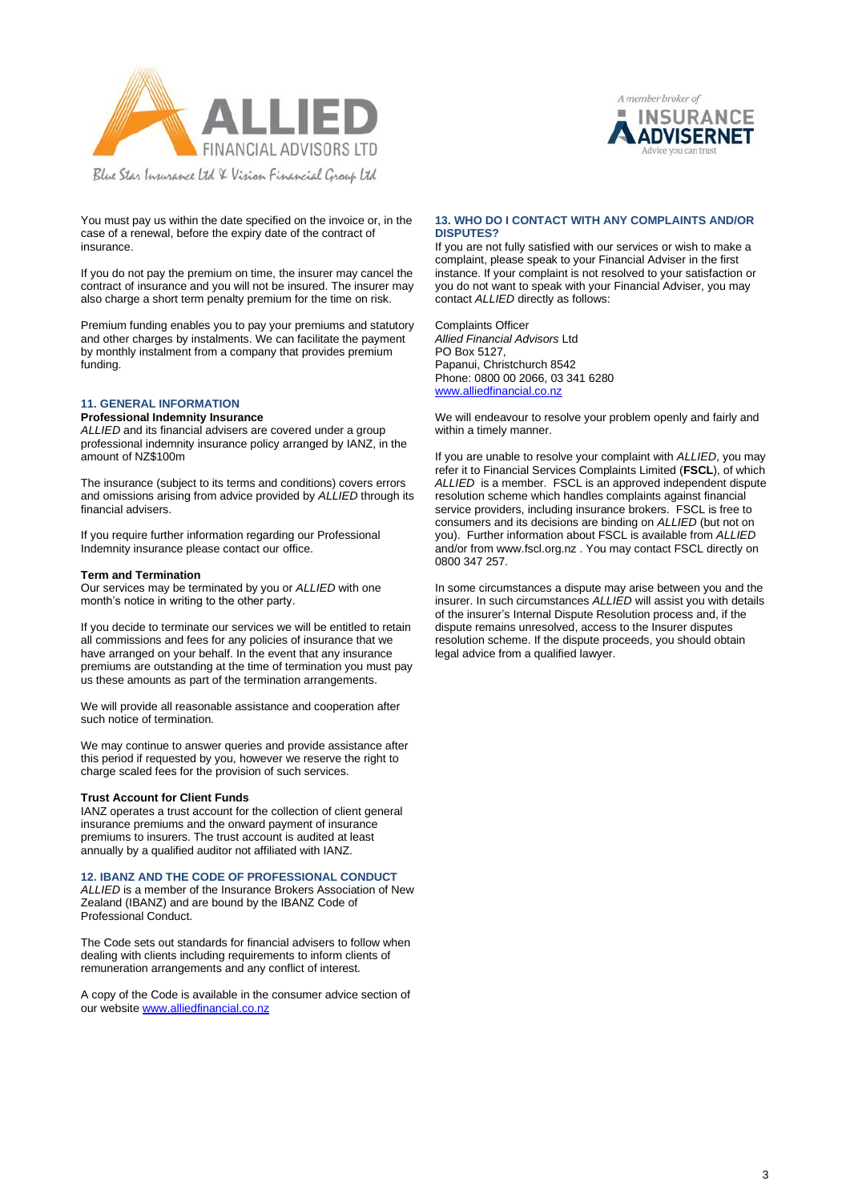



You must pay us within the date specified on the invoice or, in the case of a renewal, before the expiry date of the contract of insurance.

If you do not pay the premium on time, the insurer may cancel the contract of insurance and you will not be insured. The insurer may also charge a short term penalty premium for the time on risk.

Premium funding enables you to pay your premiums and statutory and other charges by instalments. We can facilitate the payment by monthly instalment from a company that provides premium funding.

# **11. GENERAL INFORMATION**

#### **Professional Indemnity Insurance**

*ALLIED* and its financial advisers are covered under a group professional indemnity insurance policy arranged by IANZ, in the amount of NZ\$100m

The insurance (subject to its terms and conditions) covers errors and omissions arising from advice provided by *ALLIED* through its financial advisers.

If you require further information regarding our Professional Indemnity insurance please contact our office.

#### **Term and Termination**

Our services may be terminated by you or *ALLIED* with one month's notice in writing to the other party.

If you decide to terminate our services we will be entitled to retain all commissions and fees for any policies of insurance that we have arranged on your behalf. In the event that any insurance premiums are outstanding at the time of termination you must pay us these amounts as part of the termination arrangements.

We will provide all reasonable assistance and cooperation after such notice of termination.

We may continue to answer queries and provide assistance after this period if requested by you, however we reserve the right to charge scaled fees for the provision of such services.

#### **Trust Account for Client Funds**

IANZ operates a trust account for the collection of client general insurance premiums and the onward payment of insurance premiums to insurers. The trust account is audited at least annually by a qualified auditor not affiliated with IANZ.

#### **12. IBANZ AND THE CODE OF PROFESSIONAL CONDUCT**

*ALLIED* is a member of the Insurance Brokers Association of New Zealand (IBANZ) and are bound by the IBANZ Code of Professional Conduct.

The Code sets out standards for financial advisers to follow when dealing with clients including requirements to inform clients of remuneration arrangements and any conflict of interest.

A copy of the Code is available in the consumer advice section of our website [www.alliedfinancial.co.nz](http://www.alliedfinancial.co.nz/)

#### **13. WHO DO I CONTACT WITH ANY COMPLAINTS AND/OR DISPUTES?**

If you are not fully satisfied with our services or wish to make a complaint, please speak to your Financial Adviser in the first instance. If your complaint is not resolved to your satisfaction or you do not want to speak with your Financial Adviser, you may contact *ALLIED* directly as follows:

Complaints Officer *Allied Financial Advisors* Ltd PO Box 5127, Papanui, Christchurch 8542 Phone: 0800 00 2066, 03 341 6280 [www.alliedfinancial.co.nz](http://www.alliedfinancial.co.nz/)

We will endeavour to resolve your problem openly and fairly and within a timely manner.

If you are unable to resolve your complaint with *ALLIED*, you may refer it to Financial Services Complaints Limited (**FSCL**), of which *ALLIED* is a member. FSCL is an approved independent dispute resolution scheme which handles complaints against financial service providers, including insurance brokers. FSCL is free to consumers and its decisions are binding on *ALLIED* (but not on you). Further information about FSCL is available from *ALLIED* and/or from www.fscl.org.nz . You may contact FSCL directly on 0800 347 257.

In some circumstances a dispute may arise between you and the insurer. In such circumstances *ALLIED* will assist you with details of the insurer's Internal Dispute Resolution process and, if the dispute remains unresolved, access to the Insurer disputes resolution scheme. If the dispute proceeds, you should obtain legal advice from a qualified lawyer.